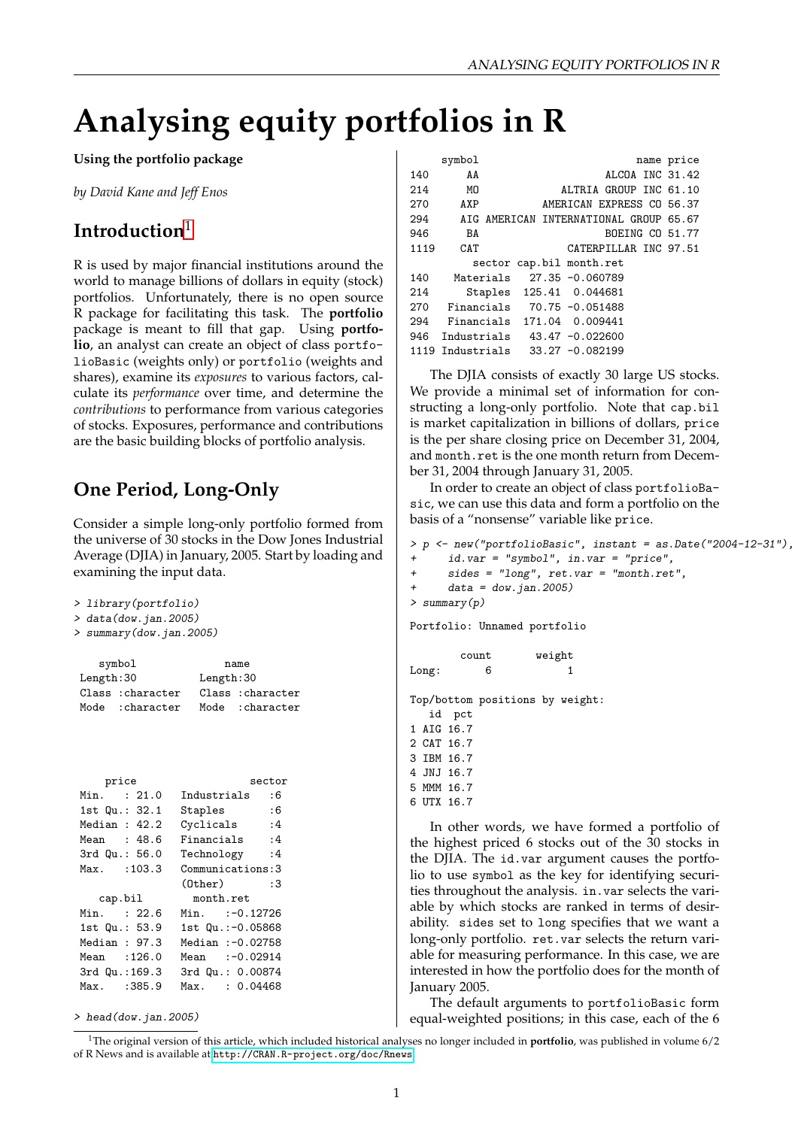# **Analysing equity portfolios in R**

#### **Using the portfolio package**

*by David Kane and Jeff Enos*

# **Introduction**[1](#page-0-0)

R is used by major financial institutions around the world to manage billions of dollars in equity (stock) portfolios. Unfortunately, there is no open source R package for facilitating this task. The **portfolio** package is meant to fill that gap. Using **portfolio**, an analyst can create an object of class portfolioBasic (weights only) or portfolio (weights and shares), examine its *exposures* to various factors, calculate its *performance* over time, and determine the *contributions* to performance from various categories of stocks. Exposures, performance and contributions are the basic building blocks of portfolio analysis.

## **One Period, Long-Only**

Consider a simple long-only portfolio formed from the universe of 30 stocks in the Dow Jones Industrial Average (DJIA) in January, 2005. Start by loading and examining the input data.

```
> library(portfolio)
```
> data(dow.jan.2005)

```
> summary(dow.jan.2005)
```

|                   | symbol           | name       |                   |  |
|-------------------|------------------|------------|-------------------|--|
| Length:30         |                  | Length: 30 |                   |  |
| Class : character |                  |            | Class : character |  |
|                   | Mode : character |            | Mode : character  |  |

| price             | sector             |
|-------------------|--------------------|
| Min. : 21.0       | Industrials<br>: 6 |
| 1st Qu.: 32.1     | Staples<br>: 6     |
| Median : $42.2$   | Cyclicals<br>: 4   |
| Mean : 48.6       | Financials :4      |
| $3rd$ Qu.: $56.0$ | Technology :4      |
| $Max.$ : 103.3    | Communications: 3  |
|                   | $(0$ ther $)$ :3   |
| cap.bil           | month.ret          |
| Min. : 22.6       | Min. :-0.12726     |
| 1st Qu.: 53.9     | 1st Qu.:-0.05868   |
| Median: 97.3      | Median :- 0.02758  |
| Mean :126.0       | Mean :-0.02914     |
| 3rd Qu.:169.3     | 3rd Qu.: 0.00874   |
| Max. : 385.9      | Max. : 0.04468     |
|                   |                    |

> head(dow.jan.2005)

|      | symbol                                 |                           |  |                 |                           | name price      |
|------|----------------------------------------|---------------------------|--|-----------------|---------------------------|-----------------|
| 140  | AA                                     |                           |  |                 |                           | ALCOA INC 31.42 |
| 214  | МO                                     |                           |  |                 | ALTRIA GROUP INC 61.10    |                 |
| 270  | AXP                                    |                           |  |                 | AMERICAN EXPRESS CO 56.37 |                 |
| 294  | AIG AMERICAN INTERNATIONAL GROUP 65.67 |                           |  |                 |                           |                 |
| 946  | BA                                     |                           |  |                 |                           | BOEING CO 51.77 |
| 1119 | CAT                                    |                           |  |                 | CATERPILLAR INC 97.51     |                 |
|      |                                        | sector cap.bil month.ret  |  |                 |                           |                 |
| 140  |                                        | Materials 27.35 -0.060789 |  |                 |                           |                 |
| 214  |                                        | Staples 125.41 0.044681   |  |                 |                           |                 |
| 270  | Financials 70.75 -0.051488             |                           |  |                 |                           |                 |
| 294  | Financials                             |                           |  | 171.04 0.009441 |                           |                 |
|      | 946 Industrials                        |                           |  | 43.47 -0.022600 |                           |                 |
|      | 1119 Industrials                       |                           |  | 33.27 -0.082199 |                           |                 |

The DJIA consists of exactly 30 large US stocks. We provide a minimal set of information for constructing a long-only portfolio. Note that cap.bil is market capitalization in billions of dollars, price is the per share closing price on December 31, 2004, and month.ret is the one month return from December 31, 2004 through January 31, 2005.

In order to create an object of class portfolioBasic, we can use this data and form a portfolio on the basis of a "nonsense" variable like price.

```
> p <- new("portfolioBasic", instant = as.Date("2004-12-31"),
     id.var = "symbol", in.var = "price",+ sides = "long", ret.var = "month.ret",
+ data = dow.jan.2005)
> summary(p)
Portfolio: Unnamed portfolio
       count weight
Long: 6 \t 1Top/bottom positions by weight:
  id pct
1 AIG 16.7
2 CAT 16.7
3 IBM 16.7
4 JNJ 16.7
5 MMM 16.7
```

```
6 UTX 16.7
```
In other words, we have formed a portfolio of the highest priced 6 stocks out of the 30 stocks in the DJIA. The id.var argument causes the portfolio to use symbol as the key for identifying securities throughout the analysis. in.var selects the variable by which stocks are ranked in terms of desirability. sides set to long specifies that we want a long-only portfolio. ret.var selects the return variable for measuring performance. In this case, we are interested in how the portfolio does for the month of January 2005.

The default arguments to portfolioBasic form equal-weighted positions; in this case, each of the 6

<span id="page-0-0"></span><sup>1</sup>The original version of this article, which included historical analyses no longer included in **portfolio**, was published in volume 6/2 of R News and is available at <http://CRAN.R-project.org/doc/Rnews>.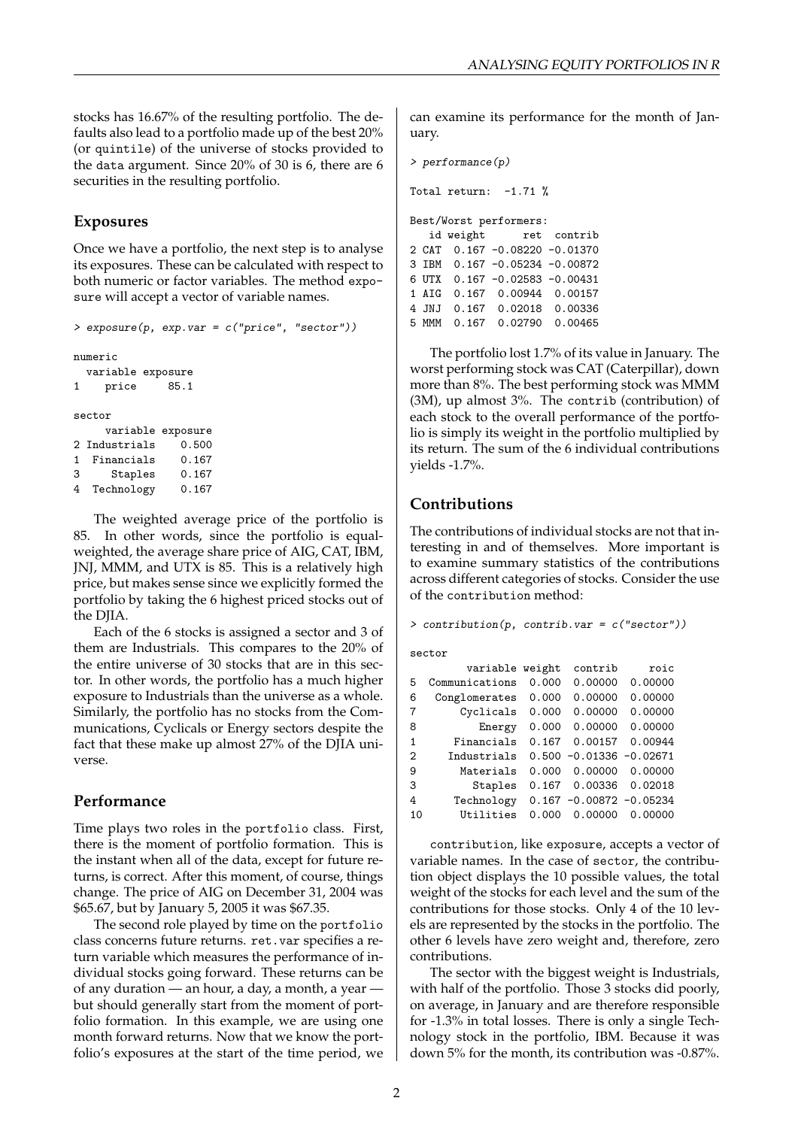stocks has 16.67% of the resulting portfolio. The defaults also lead to a portfolio made up of the best 20% (or quintile) of the universe of stocks provided to the data argument. Since 20% of 30 is 6, there are 6 securities in the resulting portfolio.

#### **Exposures**

Once we have a portfolio, the next step is to analyse its exposures. These can be calculated with respect to both numeric or factor variables. The method exposure will accept a vector of variable names.

```
> exposure(p, exp.var = c("price", "sector"))
numeric
 variable exposure
1 price 85.1
sector
    variable exposure
2 Industrials 0.500
1 Financials 0.167
3 Staples 0.167
4 Technology 0.167
```
The weighted average price of the portfolio is 85. In other words, since the portfolio is equalweighted, the average share price of AIG, CAT, IBM, JNJ, MMM, and UTX is 85. This is a relatively high price, but makes sense since we explicitly formed the portfolio by taking the 6 highest priced stocks out of the DJIA.

Each of the 6 stocks is assigned a sector and 3 of them are Industrials. This compares to the 20% of the entire universe of 30 stocks that are in this sector. In other words, the portfolio has a much higher exposure to Industrials than the universe as a whole. Similarly, the portfolio has no stocks from the Communications, Cyclicals or Energy sectors despite the fact that these make up almost 27% of the DJIA universe.

#### **Performance**

Time plays two roles in the portfolio class. First, there is the moment of portfolio formation. This is the instant when all of the data, except for future returns, is correct. After this moment, of course, things change. The price of AIG on December 31, 2004 was \$65.67, but by January 5, 2005 it was \$67.35.

The second role played by time on the portfolio class concerns future returns. ret.var specifies a return variable which measures the performance of individual stocks going forward. These returns can be of any duration — an hour, a day, a month, a year but should generally start from the moment of portfolio formation. In this example, we are using one month forward returns. Now that we know the portfolio's exposures at the start of the time period, we can examine its performance for the month of January.

```
> performance(p)
Total return: -1.71 %
Best/Worst performers:
  id weight ret contrib
2 CAT 0.167 -0.08220 -0.01370
3 IBM 0.167 -0.05234 -0.00872
6 UTX 0.167 -0.02583 -0.00431
1 AIG 0.167 0.00944 0.00157
4 JNJ 0.167 0.02018 0.00336
```
5 MMM 0.167 0.02790 0.00465

The portfolio lost 1.7% of its value in January. The worst performing stock was CAT (Caterpillar), down more than 8%. The best performing stock was MMM (3M), up almost 3%. The contrib (contribution) of each stock to the overall performance of the portfolio is simply its weight in the portfolio multiplied by its return. The sum of the 6 individual contributions yields -1.7%.

#### **Contributions**

The contributions of individual stocks are not that interesting in and of themselves. More important is to examine summary statistics of the contributions across different categories of stocks. Consider the use of the contribution method:

```
> contribution(p, contrib.var = c("sector"))
```
sector

|                | variable weight |       | contrib                     | roic    |
|----------------|-----------------|-------|-----------------------------|---------|
| 5              | Communications  | 0.000 | 0.00000                     | 0.00000 |
| 6              | Conglomerates   | 0.000 | 0.00000                     | 0.00000 |
| 7              | Cyclicals       | 0.000 | 0.00000                     | 0.00000 |
| 8              | Energy          | 0.000 | 0.00000                     | 0.00000 |
| $\mathbf{1}$   | Financials      | 0.167 | 0.00157                     | 0.00944 |
| $\overline{2}$ | Industrials     |       | $0.500 -0.01336 -0.02671$   |         |
| 9              | Materials       | 0.000 | 0.00000                     | 0.00000 |
| 3              | Staples         | 0.167 | 0.00336                     | 0.02018 |
| 4              | Technology      |       | $0.167 - 0.00872 - 0.05234$ |         |
| 10             | Utilities       | 0.000 | 0.00000                     | 0.00000 |
|                |                 |       |                             |         |

contribution, like exposure, accepts a vector of variable names. In the case of sector, the contribution object displays the 10 possible values, the total weight of the stocks for each level and the sum of the contributions for those stocks. Only 4 of the 10 levels are represented by the stocks in the portfolio. The other 6 levels have zero weight and, therefore, zero contributions.

The sector with the biggest weight is Industrials, with half of the portfolio. Those 3 stocks did poorly, on average, in January and are therefore responsible for -1.3% in total losses. There is only a single Technology stock in the portfolio, IBM. Because it was down 5% for the month, its contribution was -0.87%.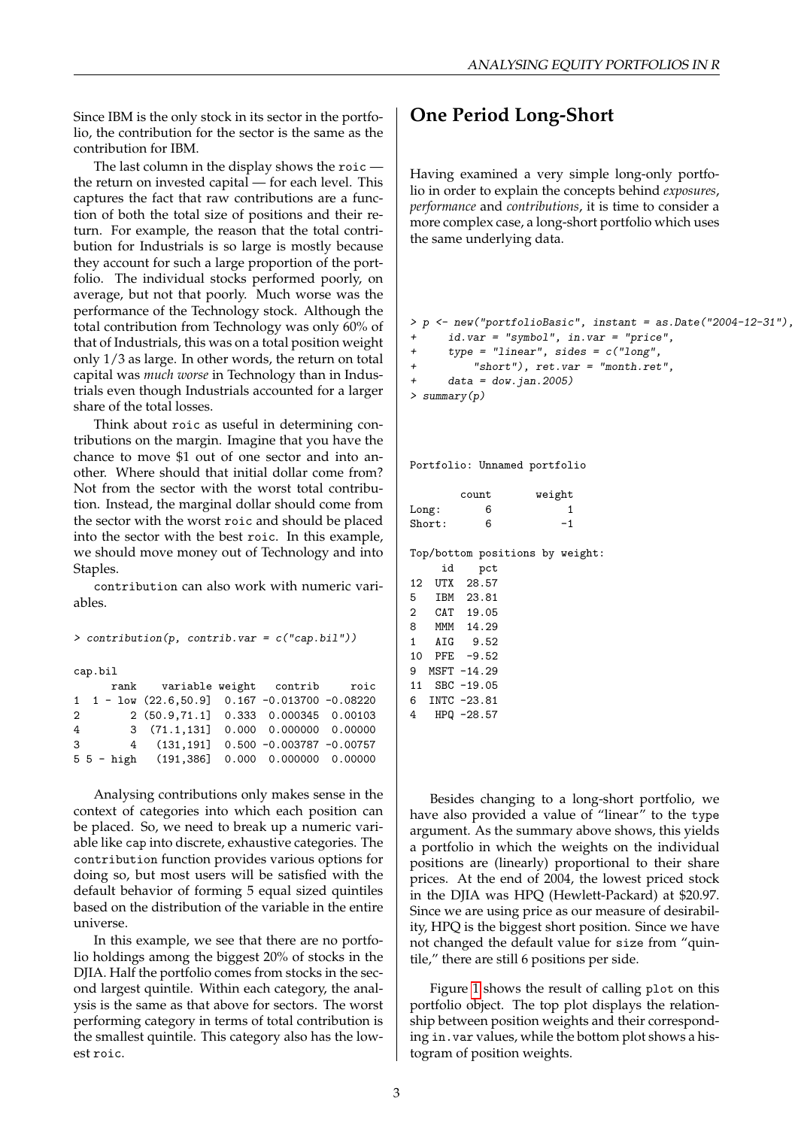Since IBM is the only stock in its sector in the portfolio, the contribution for the sector is the same as the contribution for IBM.

The last column in the display shows the roic the return on invested capital — for each level. This captures the fact that raw contributions are a function of both the total size of positions and their return. For example, the reason that the total contribution for Industrials is so large is mostly because they account for such a large proportion of the portfolio. The individual stocks performed poorly, on average, but not that poorly. Much worse was the performance of the Technology stock. Although the total contribution from Technology was only 60% of that of Industrials, this was on a total position weight only 1/3 as large. In other words, the return on total capital was *much worse* in Technology than in Industrials even though Industrials accounted for a larger share of the total losses.

Think about roic as useful in determining contributions on the margin. Imagine that you have the chance to move \$1 out of one sector and into another. Where should that initial dollar come from? Not from the sector with the worst total contribution. Instead, the marginal dollar should come from the sector with the worst roic and should be placed into the sector with the best roic. In this example, we should move money out of Technology and into Staples.

contribution can also work with numeric variables.

> contribution(p, contrib.var = c("cap.bil"))

cap.bil

|   |  | rank variable weight contrib roic                                          |  |  |
|---|--|----------------------------------------------------------------------------|--|--|
|   |  | $1 \quad 1 - \text{low} \ (22.6, 50.9) \quad 0.167 \ -0.013700 \ -0.08220$ |  |  |
| 2 |  | 2 (50.9,71.1] 0.333 0.000345 0.00103                                       |  |  |
| 4 |  | 3 (71.1,131] 0.000 0.000000 0.00000                                        |  |  |
| 3 |  | 4 (131,191] 0.500 -0.003787 -0.00757                                       |  |  |
|   |  | $5\bar{5}$ - high (191,386] 0.000 0.000000 0.00000                         |  |  |

Analysing contributions only makes sense in the context of categories into which each position can be placed. So, we need to break up a numeric variable like cap into discrete, exhaustive categories. The contribution function provides various options for doing so, but most users will be satisfied with the default behavior of forming 5 equal sized quintiles based on the distribution of the variable in the entire universe.

In this example, we see that there are no portfolio holdings among the biggest 20% of stocks in the DJIA. Half the portfolio comes from stocks in the second largest quintile. Within each category, the analysis is the same as that above for sectors. The worst performing category in terms of total contribution is the smallest quintile. This category also has the lowest roic.

## **One Period Long-Short**

Having examined a very simple long-only portfolio in order to explain the concepts behind *exposures*, *performance* and *contributions*, it is time to consider a more complex case, a long-short portfolio which uses the same underlying data.

```
> p <- new("portfolioBasic", instant = as.Date("2004-12-31"),
     id.var = "symbol", in.var = "price",+ type = "linear", sides = c("long",
+ "short"), ret.var = "month.ret",
+ data = dow.jan.2005)
> summary(p)
```
Portfolio: Unnamed portfolio

|        | count | weight |
|--------|-------|--------|
| Long:  | 6     |        |
| Short: | հ     | -1     |

Top/bottom positions by weight:

|             | id | pct           |  |
|-------------|----|---------------|--|
| 12          |    | UTX 28.57     |  |
| 5           |    | IBM 23.81     |  |
| $2^{\circ}$ |    | CAT 19.05     |  |
|             |    | 8 MMM 14.29   |  |
|             |    | 1 AIG 9.52    |  |
|             |    | 10 PFE -9.52  |  |
|             |    | 9 MSFT -14.29 |  |
| 11          |    | $SBC -19.05$  |  |
|             |    | 6 INTC -23.81 |  |
|             |    | 4 HPQ -28.57  |  |
|             |    |               |  |

Besides changing to a long-short portfolio, we have also provided a value of "linear" to the type argument. As the summary above shows, this yields a portfolio in which the weights on the individual positions are (linearly) proportional to their share prices. At the end of 2004, the lowest priced stock in the DJIA was HPQ (Hewlett-Packard) at \$20.97. Since we are using price as our measure of desirability, HPQ is the biggest short position. Since we have not changed the default value for size from "quintile," there are still 6 positions per side.

Figure [1](#page-3-0) shows the result of calling plot on this portfolio object. The top plot displays the relationship between position weights and their corresponding in.var values, while the bottom plot shows a histogram of position weights.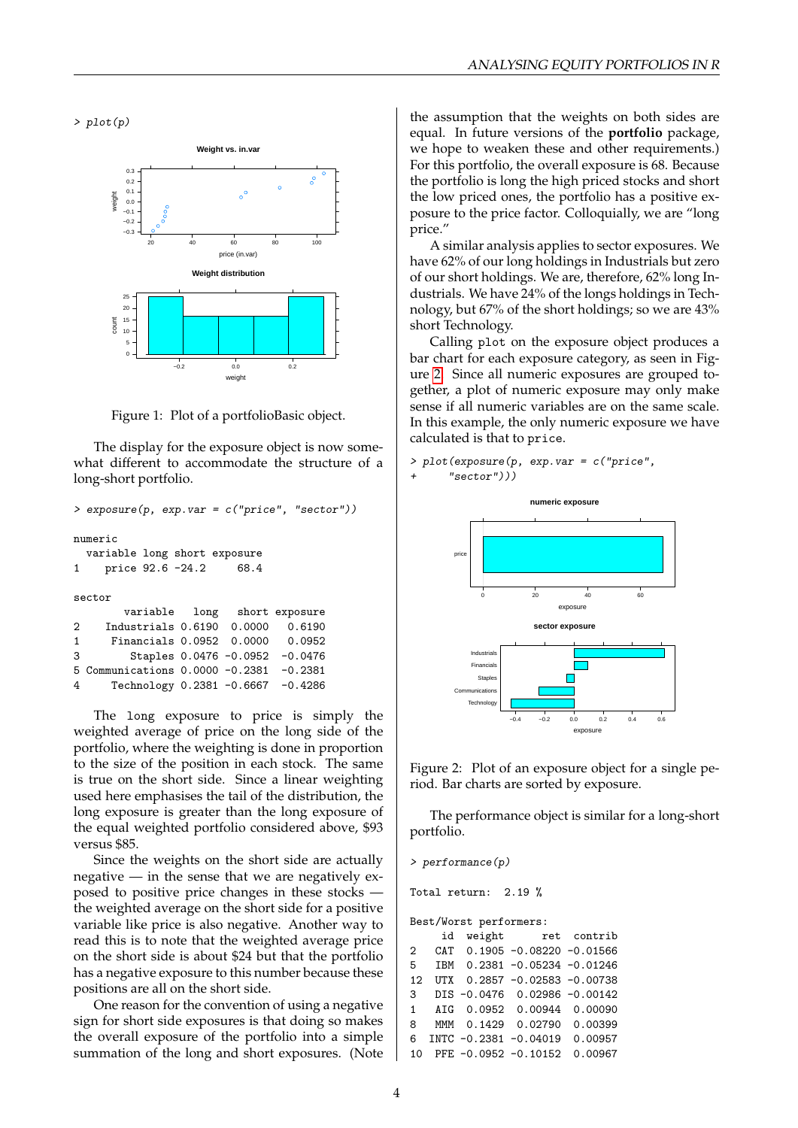$> plot(p)$ 



<span id="page-3-0"></span>Figure 1: Plot of a portfolioBasic object.

The display for the exposure object is now somewhat different to accommodate the structure of a long-short portfolio.

```
> exposure(p, exp.var = c("price", "sector"))
numeric
 variable long short exposure
1 price 92.6 -24.2 68.4
sector
       variable long short exposure
2 Industrials 0.6190 0.0000 0.6190
1 Financials 0.0952 0.0000 0.0952
3 Staples 0.0476 -0.0952 -0.0476
5 Communications 0.0000 -0.2381 -0.2381
4 Technology 0.2381 -0.6667 -0.4286
```
The long exposure to price is simply the weighted average of price on the long side of the portfolio, where the weighting is done in proportion to the size of the position in each stock. The same is true on the short side. Since a linear weighting used here emphasises the tail of the distribution, the long exposure is greater than the long exposure of the equal weighted portfolio considered above, \$93 versus \$85.

Since the weights on the short side are actually negative  $-$  in the sense that we are negatively exposed to positive price changes in these stocks the weighted average on the short side for a positive variable like price is also negative. Another way to read this is to note that the weighted average price on the short side is about \$24 but that the portfolio has a negative exposure to this number because these positions are all on the short side.

One reason for the convention of using a negative sign for short side exposures is that doing so makes the overall exposure of the portfolio into a simple summation of the long and short exposures. (Note

the assumption that the weights on both sides are equal. In future versions of the **portfolio** package, we hope to weaken these and other requirements.) For this portfolio, the overall exposure is 68. Because the portfolio is long the high priced stocks and short the low priced ones, the portfolio has a positive exposure to the price factor. Colloquially, we are "long price."

A similar analysis applies to sector exposures. We have 62% of our long holdings in Industrials but zero of our short holdings. We are, therefore, 62% long Industrials. We have 24% of the longs holdings in Technology, but 67% of the short holdings; so we are 43% short Technology.

Calling plot on the exposure object produces a bar chart for each exposure category, as seen in Figure [2.](#page-3-1) Since all numeric exposures are grouped together, a plot of numeric exposure may only make sense if all numeric variables are on the same scale. In this example, the only numeric exposure we have calculated is that to price.

> plot(exposure(p, exp.var = c("price",  $"sector")$ )



<span id="page-3-1"></span>Figure 2: Plot of an exposure object for a single period. Bar charts are sorted by exposure.

The performance object is similar for a long-short portfolio.

```
> performance(p)
Total return: 2.19 %
Best/Worst performers:
    id weight ret contrib
2 CAT 0.1905 -0.08220 -0.01566
5 IBM 0.2381 -0.05234 -0.01246
12 UTX 0.2857 -0.02583 -0.00738
3 DIS -0.0476 0.02986 -0.00142
1 AIG 0.0952 0.00944 0.00090<br>8 MMM 0.1429 0.02790 0.00399
   MMM 0.1429 0.02790 0.00399
6 INTC -0.2381 -0.04019 0.00957
10 PFE -0.0952 -0.10152 0.00967
```